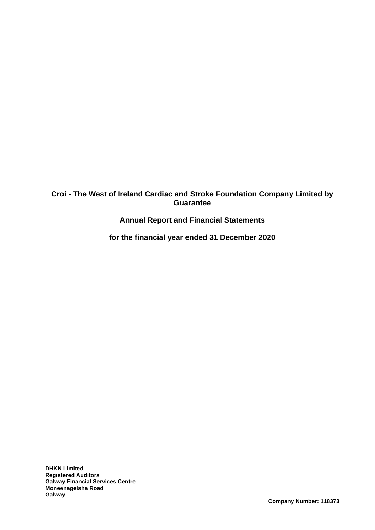**Annual Report and Financial Statements**

**for the financial year ended 31 December 2020**

**DHKN Limited Registered Auditors Galway Financial Services Centre Moneenageisha Road Galway**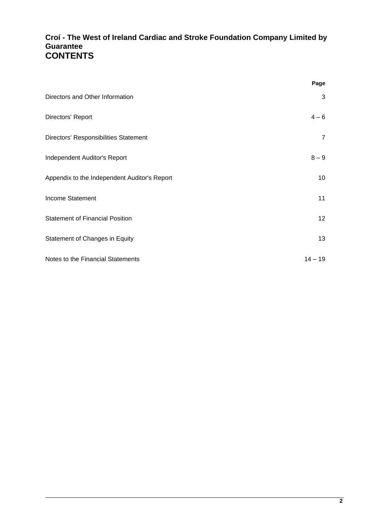|                                              | Page            |
|----------------------------------------------|-----------------|
| Directors and Other Information              | 3               |
| Directors' Report                            | $4 - 6$         |
| Directors' Responsibilities Statement        | $\overline{7}$  |
| Independent Auditor's Report                 | $8 - 9$         |
| Appendix to the Independent Auditor's Report | 10 <sup>1</sup> |
| Income Statement                             | 11              |
| <b>Statement of Financial Position</b>       | 12              |
| Statement of Changes in Equity               | 13              |
| Notes to the Financial Statements            | $14 - 19$       |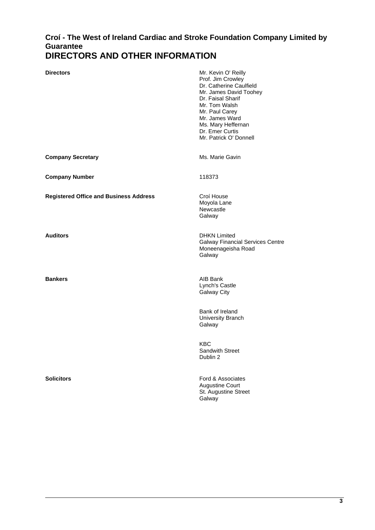# **Croí - The West of Ireland Cardiac and Stroke Foundation Company Limited by Guarantee DIRECTORS AND OTHER INFORMATION**

<span id="page-2-0"></span>

| <b>Directors</b>                              | Mr. Kevin O' Reilly<br>Prof. Jim Crowley<br>Dr. Catherine Caulfield<br>Mr. James David Toohey<br>Dr. Faisal Sharif<br>Mr. Tom Walsh<br>Mr. Paul Carey<br>Mr. James Ward<br>Ms. Mary Heffernan<br>Dr. Emer Curtis<br>Mr. Patrick O' Donnell |
|-----------------------------------------------|--------------------------------------------------------------------------------------------------------------------------------------------------------------------------------------------------------------------------------------------|
| <b>Company Secretary</b>                      | Ms. Marie Gavin                                                                                                                                                                                                                            |
| <b>Company Number</b>                         | 118373                                                                                                                                                                                                                                     |
| <b>Registered Office and Business Address</b> | Croí House<br>Moyola Lane<br>Newcastle<br>Galway                                                                                                                                                                                           |
| <b>Auditors</b>                               | <b>DHKN Limited</b><br><b>Galway Financial Services Centre</b><br>Moneenageisha Road<br>Galway                                                                                                                                             |
| <b>Bankers</b>                                | AIB Bank<br>Lynch's Castle<br><b>Galway City</b>                                                                                                                                                                                           |
|                                               | Bank of Ireland<br>University Branch<br>Galway                                                                                                                                                                                             |
|                                               | <b>KBC</b><br>Sandwith Street<br>Dublin 2                                                                                                                                                                                                  |
| <b>Solicitors</b>                             | Ford & Associates<br><b>Augustine Court</b><br>St. Augustine Street<br>Galway                                                                                                                                                              |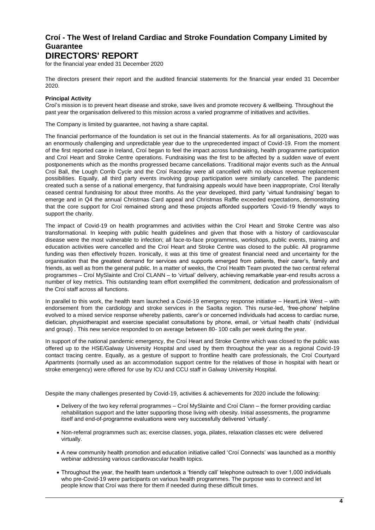for the financial year ended 31 December 2020

<span id="page-3-0"></span>The directors present their report and the audited financial statements for the financial year ended 31 December 2020.

## **Principal Activity**

Croí's mission is to prevent heart disease and stroke, save lives and promote recovery & wellbeing. Throughout the past year the organisation delivered to this mission across a varied programme of initiatives and activities.

The Company is limited by guarantee, not having a share capital.

The financial performance of the foundation is set out in the financial statements. As for all organisations, 2020 was an enormously challenging and unpredictable year due to the unprecedented impact of Covid-19. From the moment of the first reported case in Ireland, Croí began to feel the impact across fundraising, health programme participation and Croí Heart and Stroke Centre operations. Fundraising was the first to be affected by a sudden wave of event postponements which as the months progressed became cancellations. Traditional major events such as the Annual Croí Ball, the Lough Corrib Cycle and the Croí Raceday were all cancelled with no obvious revenue replacement possibilities. Equally, all third party events involving group participation were similarly cancelled. The pandemic created such a sense of a national emergency, that fundraising appeals would have been inappropriate, Croí literally ceased central fundraising for about three months. As the year developed, third party 'virtual fundraising' began to emerge and in Q4 the annual Christmas Card appeal and Christmas Raffle exceeded expectations, demonstrating that the core support for Croí remained strong and these projects afforded supporters 'Covid-19 friendly' ways to support the charity.

The impact of Covid-19 on health programmes and activities within the Croí Heart and Stroke Centre was also transformational. In keeping with public health guidelines and given that those with a history of cardiovascular disease were the most vulnerable to infection; all face-to-face programmes, workshops, public events, training and education activities were cancelled and the Croí Heart and Stroke Centre was closed to the public. All programme funding was then effectively frozen. Ironically, it was at this time of greatest financial need and uncertainty for the organisation that the greatest demand for services and supports emerged from patients, their carer's, family and friends, as well as from the general public. In a matter of weeks, the Croí Health Team pivoted the two central referral programmes – Croí MySlainte and Croí CLANN – to 'virtual' delivery, achieving remarkable year-end results across a number of key metrics. This outstanding team effort exemplified the commitment, dedication and professionalism of the Croí staff across all functions.

In parallel to this work, the health team launched a Covid-19 emergency response initiative – HeartLink West – with endorsement from the cardiology and stroke services in the Saolta region. This nurse-led, 'free-phone' helpline evolved to a mixed service response whereby patients, carer's or concerned individuals had access to cardiac nurse, dietician, physiotherapist and exercise specialist consultations by phone, email, or 'virtual health chats' (individual and group) . This new service responded to on average between 80- 100 calls per week during the year.

In support of the national pandemic emergency, the Croí Heart and Stroke Centre which was closed to the public was offered up to the HSE/Galway University Hospital and used by them throughout the year as a regional Covid-19 contact tracing centre. Equally, as a gesture of support to frontline health care professionals, the Croí Courtyard Apartments (normally used as an accommodation support centre for the relatives of those in hospital with heart or stroke emergency) were offered for use by ICU and CCU staff in Galway University Hospital.

Despite the many challenges presented by Covid-19, activities & achievements for 2020 include the following:

- Delivery of the two key referral programmes Croí MySlainte and Croí Clann the former providing cardiac rehabilitation support and the latter supporting those living with obesity. Initial assessments, the programme itself and end-of-programme evaluations were very successfully delivered 'virtually'.
- Non-referral programmes such as; exercise classes, yoga, pilates, relaxation classes etc were delivered virtually.
- A new community health promotion and education initiative called 'Croí Connects' was launched as a monthly webinar addressing various cardiovascular health topics.
- Throughout the year, the health team undertook a 'friendly call' telephone outreach to over 1,000 individuals who pre-Covid-19 were participants on various health programmes. The purpose was to connect and let people know that Croí was there for them if needed during these difficult times.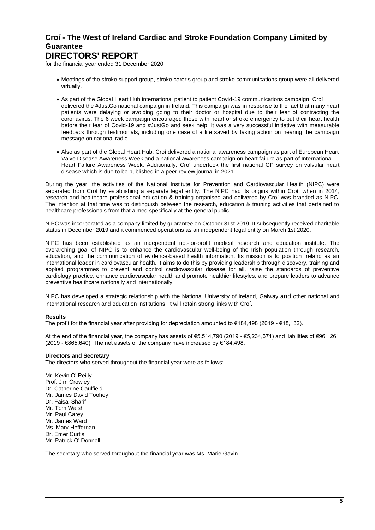for the financial year ended 31 December 2020

- Meetings of the stroke support group, stroke carer's group and stroke communications group were all delivered virtually.
- As part of the Global Heart Hub international patient to patient Covid-19 communications campaign, Croí delivered the #JustGo national campaign in Ireland. This campaign was in response to the fact that many heart patients were delaying or avoiding going to their doctor or hospital due to their fear of contracting the coronavirus. The 6 week campaign encouraged those with heart or stroke emergency to put their heart health before their fear of Covid-19 and #JustGo and seek help. It was a very successful initiative with measurable feedback through testimonials, including one case of a life saved by taking action on hearing the campaign message on national radio.
- Also as part of the Global Heart Hub, Croí delivered a national awareness campaign as part of European Heart Valve Disease Awareness Week and a national awareness campaign on heart failure as part of International Heart Failure Awareness Week. Additionally, Croí undertook the first national GP survey on valvular heart disease which is due to be published in a peer review journal in 2021.

During the year, the activities of the National Institute for Prevention and Cardiovascular Health (NIPC) were separated from Croí by establishing a separate legal entity. The NIPC had its origins within Croí, when in 2014, research and healthcare professional education & training organised and delivered by Croí was branded as NIPC. The intention at that time was to distinguish between the research, education & training activities that pertained to healthcare professionals from that aimed specifically at the general public.

NIPC was incorporated as a company limited by guarantee on October 31st 2019. It subsequently received charitable status in December 2019 and it commenced operations as an independent legal entity on March 1st 2020.

NIPC has been established as an independent not-for-profit medical research and education institute. The overarching goal of NIPC is to enhance the cardiovascular well-being of the Irish population through research, education, and the communication of evidence-based health information. Its mission is to position Ireland as an international leader in cardiovascular health. It aims to do this by providing leadership through discovery, training and applied programmes to prevent and control cardiovascular disease for all, raise the standards of preventive cardiology practice, enhance cardiovascular health and promote healthier lifestyles, and prepare leaders to advance preventive healthcare nationally and internationally.

NIPC has developed a strategic relationship with the National University of Ireland, Galway and other national and international research and education institutions. It will retain strong links with Croí.

## **Results**

The profit for the financial year after providing for depreciation amounted to €184,498 (2019 - €18,132).

At the end of the financial year, the company has assets of €5,514,790 (2019 - €5,234,671) and liabilities of €961,261 (2019 - €865,640). The net assets of the company have increased by €184,498.

## **Directors and Secretary**

The directors who served throughout the financial year were as follows:

Mr. Kevin O' Reilly Prof. Jim Crowley Dr. Catherine Caulfield Mr. James David Toohey Dr. Faisal Sharif Mr. Tom Walsh Mr. Paul Carey Mr. James Ward Ms. Mary Heffernan Dr. Emer Curtis Mr. Patrick O' Donnell

The secretary who served throughout the financial year was Ms. Marie Gavin.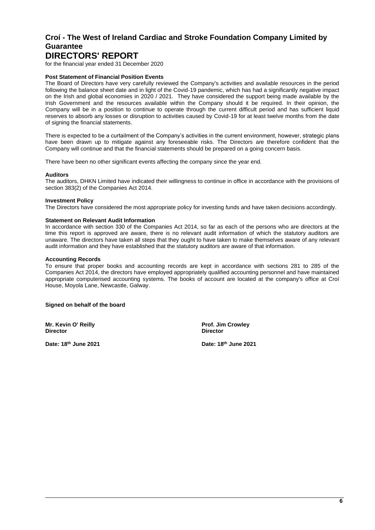for the financial year ended 31 December 2020

#### **Post Statement of Financial Position Events**

The Board of Directors have very carefully reviewed the Company's activities and available resources in the period following the balance sheet date and in light of the Covid-19 pandemic, which has had a significantly negative impact on the Irish and global economies in 2020 / 2021. They have considered the support being made available by the Irish Government and the resources available within the Company should it be required. In their opinion, the Company will be in a position to continue to operate through the current difficult period and has sufficient liquid reserves to absorb any losses or disruption to activities caused by Covid-19 for at least twelve months from the date of signing the financial statements.

There is expected to be a curtailment of the Company's activities in the current environment, however, strategic plans have been drawn up to mitigate against any foreseeable risks. The Directors are therefore confident that the Company will continue and that the financial statements should be prepared on a going concern basis.

There have been no other significant events affecting the company since the year end.

#### **Auditors**

The auditors, DHKN Limited have indicated their willingness to continue in office in accordance with the provisions of section 383(2) of the Companies Act 2014.

#### **Investment Policy**

The Directors have considered the most appropriate policy for investing funds and have taken decisions accordingly.

#### **Statement on Relevant Audit Information**

In accordance with section 330 of the Companies Act 2014, so far as each of the persons who are directors at the time this report is approved are aware, there is no relevant audit information of which the statutory auditors are unaware. The directors have taken all steps that they ought to have taken to make themselves aware of any relevant audit information and they have established that the statutory auditors are aware of that information.

#### **Accounting Records**

To ensure that proper books and accounting records are kept in accordance with sections 281 to 285 of the Companies Act 2014, the directors have employed appropriately qualified accounting personnel and have maintained appropriate computerised accounting systems. The books of account are located at the company's office at Croí House, Moyola Lane, Newcastle, Galway.

**Signed on behalf of the board**

**Mr. Kevin O' Reilly and Service Service Service Service Service Service Service Service Service Service Service Service Service Service Service Service Service Service Service Service Service Service Service Service Servi Director Director**

**Date: 18th June 2021 Date: 18th June 2021**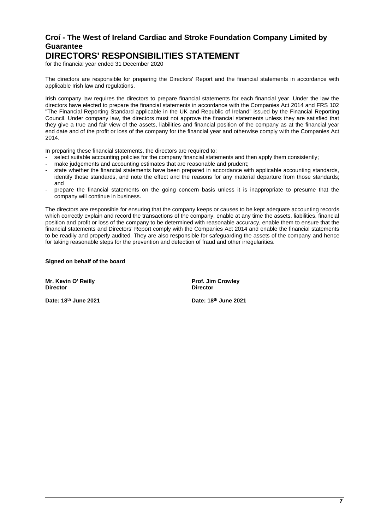# **Croí - The West of Ireland Cardiac and Stroke Foundation Company Limited by Guarantee DIRECTORS' RESPONSIBILITIES STATEMENT**

for the financial year ended 31 December 2020

The directors are responsible for preparing the Directors' Report and the financial statements in accordance with applicable Irish law and regulations.

Irish company law requires the directors to prepare financial statements for each financial year. Under the law the directors have elected to prepare the financial statements in accordance with the Companies Act 2014 and FRS 102 "The Financial Reporting Standard applicable in the UK and Republic of Ireland" issued by the Financial Reporting Council. Under company law, the directors must not approve the financial statements unless they are satisfied that they give a true and fair view of the assets, liabilities and financial position of the company as at the financial year end date and of the profit or loss of the company for the financial year and otherwise comply with the Companies Act 2014.

In preparing these financial statements, the directors are required to:

- select suitable accounting policies for the company financial statements and then apply them consistently:
- make judgements and accounting estimates that are reasonable and prudent;
- state whether the financial statements have been prepared in accordance with applicable accounting standards, identify those standards, and note the effect and the reasons for any material departure from those standards; and
- prepare the financial statements on the going concern basis unless it is inappropriate to presume that the company will continue in business.

The directors are responsible for ensuring that the company keeps or causes to be kept adequate accounting records which correctly explain and record the transactions of the company, enable at any time the assets, liabilities, financial position and profit or loss of the company to be determined with reasonable accuracy, enable them to ensure that the financial statements and Directors' Report comply with the Companies Act 2014 and enable the financial statements to be readily and properly audited. They are also responsible for safeguarding the assets of the company and hence for taking reasonable steps for the prevention and detection of fraud and other irregularities.

**Signed on behalf of the board**

**Mr. Kevin O' Reilly and Communist Communist Communist Prof. Jim Crowley**<br> **Prof. Jim Crowley** 

**Director Director**

**Date: 18th June 2021 Date: 18th June 2021**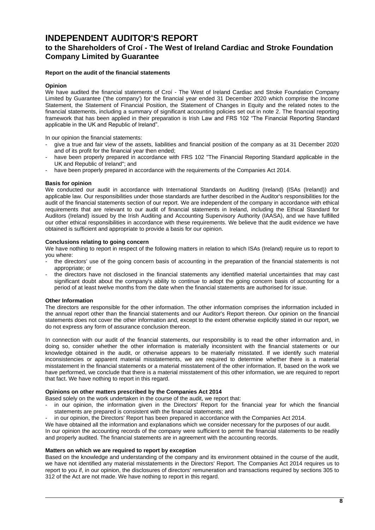# **INDEPENDENT AUDITOR'S REPORT**

# **to the Shareholders of Croí - The West of Ireland Cardiac and Stroke Foundation Company Limited by Guarantee**

## **Report on the audit of the financial statements**

#### **Opinion**

We have audited the financial statements of Croí - The West of Ireland Cardiac and Stroke Foundation Company Limited by Guarantee ('the company') for the financial year ended 31 December 2020 which comprise the Income Statement, the Statement of Financial Position, the Statement of Changes in Equity and the related notes to the financial statements, including a summary of significant accounting policies set out in note 2. The financial reporting framework that has been applied in their preparation is Irish Law and FRS 102 "The Financial Reporting Standard applicable in the UK and Republic of Ireland".

In our opinion the financial statements:

- give a true and fair view of the assets, liabilities and financial position of the company as at 31 December 2020 and of its profit for the financial year then ended;
- have been properly prepared in accordance with FRS 102 "The Financial Reporting Standard applicable in the UK and Republic of Ireland"; and
- have been properly prepared in accordance with the requirements of the Companies Act 2014.

#### **Basis for opinion**

We conducted our audit in accordance with International Standards on Auditing (Ireland) (ISAs (Ireland)) and applicable law. Our responsibilities under those standards are further described in the Auditor's responsibilities for the audit of the financial statements section of our report. We are independent of the company in accordance with ethical requirements that are relevant to our audit of financial statements in Ireland, including the Ethical Standard for Auditors (Ireland) issued by the Irish Auditing and Accounting Supervisory Authority (IAASA), and we have fulfilled our other ethical responsibilities in accordance with these requirements. We believe that the audit evidence we have obtained is sufficient and appropriate to provide a basis for our opinion.

#### **Conclusions relating to going concern**

We have nothing to report in respect of the following matters in relation to which ISAs (Ireland) require us to report to you where:

- the directors' use of the going concern basis of accounting in the preparation of the financial statements is not appropriate; or
- the directors have not disclosed in the financial statements any identified material uncertainties that may cast significant doubt about the company's ability to continue to adopt the going concern basis of accounting for a period of at least twelve months from the date when the financial statements are authorised for issue.

## **Other Information**

The directors are responsible for the other information. The other information comprises the information included in the annual report other than the financial statements and our Auditor's Report thereon. Our opinion on the financial statements does not cover the other information and, except to the extent otherwise explicitly stated in our report, we do not express any form of assurance conclusion thereon.

In connection with our audit of the financial statements, our responsibility is to read the other information and, in doing so, consider whether the other information is materially inconsistent with the financial statements or our knowledge obtained in the audit, or otherwise appears to be materially misstated. If we identify such material inconsistencies or apparent material misstatements, we are required to determine whether there is a material misstatement in the financial statements or a material misstatement of the other information. If, based on the work we have performed, we conclude that there is a material misstatement of this other information, we are required to report that fact. We have nothing to report in this regard.

#### **Opinions on other matters prescribed by the Companies Act 2014**

Based solely on the work undertaken in the course of the audit, we report that:

- in our opinion, the information given in the Directors' Report for the financial year for which the financial statements are prepared is consistent with the financial statements; and
- in our opinion, the Directors' Report has been prepared in accordance with the Companies Act 2014.

We have obtained all the information and explanations which we consider necessary for the purposes of our audit. In our opinion the accounting records of the company were sufficient to permit the financial statements to be readily and properly audited. The financial statements are in agreement with the accounting records.

## **Matters on which we are required to report by exception**

Based on the knowledge and understanding of the company and its environment obtained in the course of the audit, we have not identified any material misstatements in the Directors' Report. The Companies Act 2014 requires us to report to you if, in our opinion, the disclosures of directors' remuneration and transactions required by sections 305 to 312 of the Act are not made. We have nothing to report in this regard.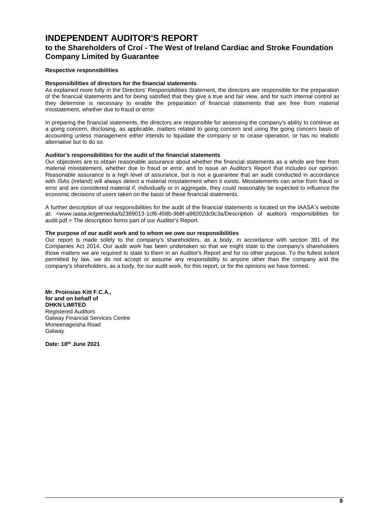# **INDEPENDENT AUDITOR'S REPORT**

# **to the Shareholders of Croí - The West of Ireland Cardiac and Stroke Foundation Company Limited by Guarantee**

## **Respective responsibilities**

## **Responsibilities of directors for the financial statements**

As explained more fully in the Directors' Responsibilities Statement, the directors are responsible for the preparation of the financial statements and for being satisfied that they give a true and fair view, and for such internal control as they determine is necessary to enable the preparation of financial statements that are free from material misstatement, whether due to fraud or error.

In preparing the financial statements, the directors are responsible for assessing the company's ability to continue as a going concern, disclosing, as applicable, matters related to going concern and using the going concern basis of accounting unless management either intends to liquidate the company or to cease operation, or has no realistic alternative but to do so.

## **Auditor's responsibilities for the audit of the financial statements**

Our objectives are to obtain reasonable assurance about whether the financial statements as a whole are free from material misstatement, whether due to fraud or error, and to issue an Auditor's Report that includes our opinion. Reasonable assurance is a high level of assurance, but is not a guarantee that an audit conducted in accordance with ISAs (Ireland) will always detect a material misstatement when it exists. Misstatements can arise from fraud or error and are considered material if, individually or in aggregate, they could reasonably be expected to influence the economic decisions of users taken on the basis of these financial statements.

A further description of our responsibilities for the audit of the financial statements is located on the IAASA's website at: <www.iaasa.ie/getmedia/b2389013-1cf6-458b-9b8f-a98202dc9c3a/Description of auditors responsibilities for audit.pdf.> The description forms part of our Auditor's Report.

## **The purpose of our audit work and to whom we owe our responsibilities**

Our report is made solely to the company's shareholders, as a body, in accordance with section 391 of the Companies Act 2014. Our audit work has been undertaken so that we might state to the company's shareholders those matters we are required to state to them in an Auditor's Report and for no other purpose. To the fullest extent permitted by law, we do not accept or assume any responsibility to anyone other than the company and the company's shareholders, as a body, for our audit work, for this report, or for the opinions we have formed.

**Mr. Proinsias Kitt F.C.A., for and on behalf of DHKN LIMITED** Registered Auditors Galway Financial Services Centre Moneenageisha Road Galway

**Date: 18th June 2021**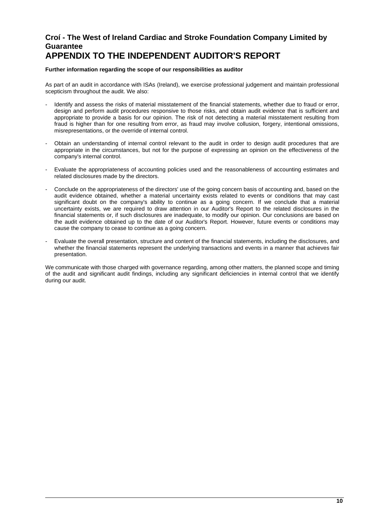# **Croí - The West of Ireland Cardiac and Stroke Foundation Company Limited by Guarantee APPENDIX TO THE INDEPENDENT AUDITOR'S REPORT**

## **Further information regarding the scope of our responsibilities as auditor**

As part of an audit in accordance with ISAs (Ireland), we exercise professional judgement and maintain professional scepticism throughout the audit. We also:

- Identify and assess the risks of material misstatement of the financial statements, whether due to fraud or error, design and perform audit procedures responsive to those risks, and obtain audit evidence that is sufficient and appropriate to provide a basis for our opinion. The risk of not detecting a material misstatement resulting from fraud is higher than for one resulting from error, as fraud may involve collusion, forgery, intentional omissions, misrepresentations, or the override of internal control.
- Obtain an understanding of internal control relevant to the audit in order to design audit procedures that are appropriate in the circumstances, but not for the purpose of expressing an opinion on the effectiveness of the company's internal control.
- Evaluate the appropriateness of accounting policies used and the reasonableness of accounting estimates and related disclosures made by the directors.
- Conclude on the appropriateness of the directors' use of the going concern basis of accounting and, based on the audit evidence obtained, whether a material uncertainty exists related to events or conditions that may cast significant doubt on the company's ability to continue as a going concern. If we conclude that a material uncertainty exists, we are required to draw attention in our Auditor's Report to the related disclosures in the financial statements or, if such disclosures are inadequate, to modify our opinion. Our conclusions are based on the audit evidence obtained up to the date of our Auditor's Report. However, future events or conditions may cause the company to cease to continue as a going concern.
- Evaluate the overall presentation, structure and content of the financial statements, including the disclosures, and whether the financial statements represent the underlying transactions and events in a manner that achieves fair presentation.

We communicate with those charged with governance regarding, among other matters, the planned scope and timing of the audit and significant audit findings, including any significant deficiencies in internal control that we identify during our audit.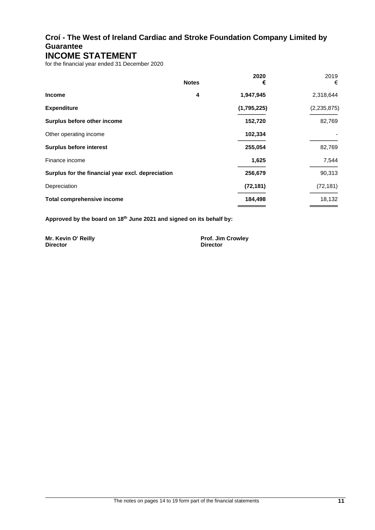# **INCOME STATEMENT**

for the financial year ended 31 December 2020

|                                                   | <b>Notes</b> | 2020<br>€   | 2019<br>€     |
|---------------------------------------------------|--------------|-------------|---------------|
| <b>Income</b>                                     | 4            | 1,947,945   | 2,318,644     |
| <b>Expenditure</b>                                |              | (1,795,225) | (2, 235, 875) |
| Surplus before other income                       |              | 152,720     | 82,769        |
| Other operating income                            |              | 102,334     |               |
| <b>Surplus before interest</b>                    |              | 255,054     | 82,769        |
| Finance income                                    |              | 1,625       | 7,544         |
| Surplus for the financial year excl. depreciation |              | 256,679     | 90,313        |
| Depreciation                                      |              | (72, 181)   | (72, 181)     |
| <b>Total comprehensive income</b>                 |              | 184,498     | 18,132        |
|                                                   |              |             |               |

**Approved by the board on 18th June 2021 and signed on its behalf by:**

**Mr. Kevin O' Reilly <b>Prof.** Jim Crowley<br>
Director **Prof.** Director

**Director Director**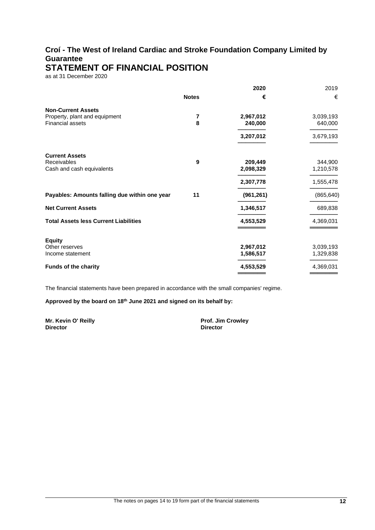# **Croí - The West of Ireland Cardiac and Stroke Foundation Company Limited by Guarantee STATEMENT OF FINANCIAL POSITION**

as at 31 December 2020

|              | 2020       | 2019                 |
|--------------|------------|----------------------|
| <b>Notes</b> | €          | €                    |
|              |            |                      |
| 7            | 2,967,012  | 3,039,193            |
|              |            | 640,000              |
|              | 3,207,012  | 3,679,193            |
|              |            |                      |
| 9            | 209,449    | 344,900              |
|              |            | 1,210,578            |
|              | 2,307,778  | 1,555,478            |
| 11           | (961, 261) | (865, 640)           |
|              | 1,346,517  | 689,838              |
|              | 4,553,529  | 4,369,031            |
|              |            |                      |
|              | 2,967,012  | 3,039,193            |
|              | 1,586,517  | 1,329,838            |
|              | 4,553,529  | 4,369,031            |
|              | 8          | 240,000<br>2,098,329 |

The financial statements have been prepared in accordance with the small companies' regime.

## **Approved by the board on 18th June 2021 and signed on its behalf by:**

**Mr. Kevin O' Reilly <b>Prof.** Jim Crowley<br>
Director Director **Director Director**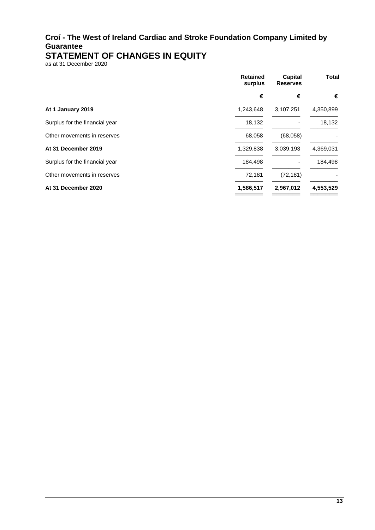# **STATEMENT OF CHANGES IN EQUITY**

as at 31 December 2020

|                                | <b>Retained</b><br>surplus | <b>Capital</b><br><b>Reserves</b> | Total     |
|--------------------------------|----------------------------|-----------------------------------|-----------|
|                                | €                          | €                                 | €         |
| At 1 January 2019              | 1,243,648                  | 3,107,251                         | 4,350,899 |
| Surplus for the financial year | 18,132                     |                                   | 18,132    |
| Other movements in reserves    | 68,058                     | (68,058)                          |           |
| At 31 December 2019            | 1,329,838                  | 3,039,193                         | 4,369,031 |
| Surplus for the financial year | 184,498                    |                                   | 184,498   |
| Other movements in reserves    | 72,181                     | (72, 181)                         |           |
| At 31 December 2020            | 1,586,517                  | 2,967,012                         | 4,553,529 |
|                                |                            |                                   |           |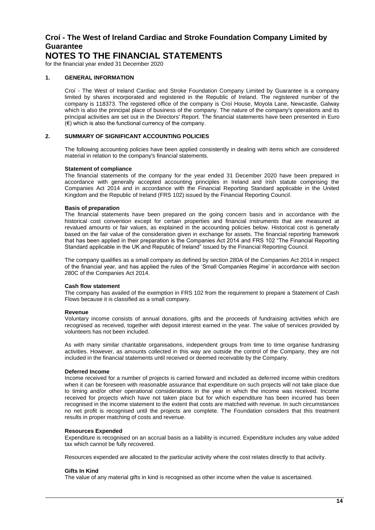# **NOTES TO THE FINANCIAL STATEMENTS**

for the financial year ended 31 December 2020

#### <span id="page-13-0"></span>**1. GENERAL INFORMATION**

Croí - The West of Ireland Cardiac and Stroke Foundation Company Limited by Guarantee is a company limited by shares incorporated and registered in the Republic of Ireland. The registered number of the company is 118373. The registered office of the company is Croí House, Moyola Lane, Newcastle, Galway which is also the principal place of business of the company. The nature of the company's operations and its principal activities are set out in the Directors' Report. The financial statements have been presented in Euro  $(\epsilon)$  which is also the functional currency of the company.

## **2. SUMMARY OF SIGNIFICANT ACCOUNTING POLICIES**

The following accounting policies have been applied consistently in dealing with items which are considered material in relation to the company's financial statements.

#### **Statement of compliance**

The financial statements of the company for the year ended 31 December 2020 have been prepared in accordance with generally accepted accounting principles in Ireland and Irish statute comprising the Companies Act 2014 and in accordance with the Financial Reporting Standard applicable in the United Kingdom and the Republic of Ireland (FRS 102) issued by the Financial Reporting Council.

#### **Basis of preparation**

The financial statements have been prepared on the going concern basis and in accordance with the historical cost convention except for certain properties and financial instruments that are measured at revalued amounts or fair values, as explained in the accounting policies below. Historical cost is generally based on the fair value of the consideration given in exchange for assets. The financial reporting framework that has been applied in their preparation is the Companies Act 2014 and FRS 102 "The Financial Reporting Standard applicable in the UK and Republic of Ireland" issued by the Financial Reporting Council.

The company qualifies as a small company as defined by section 280A of the Companies Act 2014 in respect of the financial year, and has applied the rules of the 'Small Companies Regime' in accordance with section 280C of the Companies Act 2014.

#### **Cash flow statement**

The company has availed of the exemption in FRS 102 from the requirement to prepare a Statement of Cash Flows because it is classified as a small company.

#### **Revenue**

Voluntary income consists of annual donations, gifts and the proceeds of fundraising activities which are recognised as received, together with deposit interest earned in the year. The value of services provided by volunteers has not been included.

As with many similar charitable organisations, independent groups from time to time organise fundraising activities. However, as amounts collected in this way are outside the control of the Company, they are not included in the financial statements until received or deemed receivable by the Company.

#### **Deferred Income**

Income received for a number of projects is carried forward and included as deferred income within creditors when it can be foreseen with reasonable assurance that expenditure on such projects will not take place due to timing and/or other operational considerations in the year in which the income was received. Income received for projects which have not taken place but for which expenditure has been incurred has been recognised in the income statement to the extent that costs are matched with revenue. In such circumstances no net profit is recognised until the projects are complete. The Foundation considers that this treatment results in proper matching of costs and revenue.

#### **Resources Expended**

Expenditure is recognised on an accrual basis as a liability is incurred. Expenditure includes any value added tax which cannot be fully recovered.

Resources expended are allocated to the particular activity where the cost relates directly to that activity.

#### **Gifts In Kind**

The value of any material gifts in kind is recognised as other income when the value is ascertained.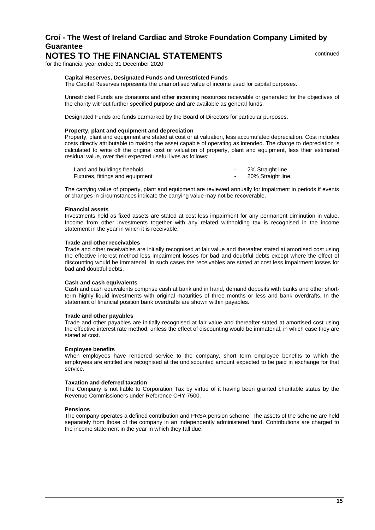for the financial year ended 31 December 2020

#### **Capital Reserves, Designated Funds and Unrestricted Funds**

The Capital Reserves represents the unamortised value of income used for capital purposes.

Unrestricted Funds are donations and other incoming resources receivable or generated for the objectives of the charity without further specified purpose and are available as general funds.

Designated Funds are funds earmarked by the Board of Directors for particular purposes.

#### **Property, plant and equipment and depreciation**

Property, plant and equipment are stated at cost or at valuation, less accumulated depreciation. Cost includes costs directly attributable to making the asset capable of operating as intended. The charge to depreciation is calculated to write off the original cost or valuation of property, plant and equipment, less their estimated residual value, over their expected useful lives as follows:

Land and buildings freehold<br>
Fixtures, fittings and equipment<br>  $\begin{array}{ccc}\n & - & 2\% & \text{Straight line} \\
- & 20\% & \text{Straight line}\n\end{array}$ Fixtures, fittings and equipment

The carrying value of property, plant and equipment are reviewed annually for impairment in periods if events or changes in circumstances indicate the carrying value may not be recoverable.

#### **Financial assets**

Investments held as fixed assets are stated at cost less impairment for any permanent diminution in value. Income from other investments together with any related withholding tax is recognised in the income statement in the year in which it is receivable.

#### **Trade and other receivables**

Trade and other receivables are initially recognised at fair value and thereafter stated at amortised cost using the effective interest method less impairment losses for bad and doubtful debts except where the effect of discounting would be immaterial. In such cases the receivables are stated at cost less impairment losses for bad and doubtful debts.

#### **Cash and cash equivalents**

Cash and cash equivalents comprise cash at bank and in hand, demand deposits with banks and other shortterm highly liquid investments with original maturities of three months or less and bank overdrafts. In the statement of financial position bank overdrafts are shown within payables.

#### **Trade and other payables**

Trade and other payables are initially recognised at fair value and thereafter stated at amortised cost using the effective interest rate method, unless the effect of discounting would be immaterial, in which case they are stated at cost.

#### **Employee benefits**

When employees have rendered service to the company, short term employee benefits to which the employees are entitled are recognised at the undiscounted amount expected to be paid in exchange for that service.

#### **Taxation and deferred taxation**

The Company is not liable to Corporation Tax by virtue of it having been granted charitable status by the Revenue Commissioners under Reference CHY 7500.

#### **Pensions**

The company operates a defined contribution and PRSA pension scheme. The assets of the scheme are held separately from those of the company in an independently administered fund. Contributions are charged to the income statement in the year in which they fall due.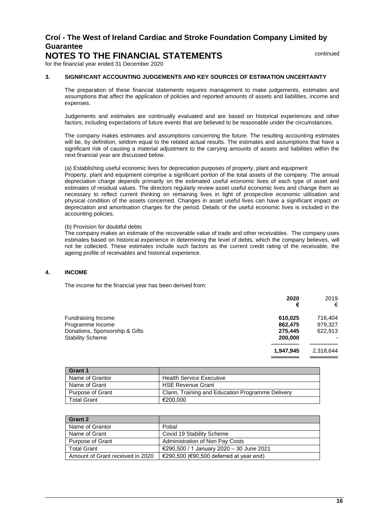for the financial year ended 31 December 2020

## **3. SIGNIFICANT ACCOUNTING JUDGEMENTS AND KEY SOURCES OF ESTIMATION UNCERTAINTY**

The preparation of these financial statements requires management to make judgements, estimates and assumptions that affect the application of policies and reported amounts of assets and liabilities, income and expenses.

Judgements and estimates are continually evaluated and are based on historical experiences and other factors, including expectations of future events that are believed to be reasonable under the circumstances.

The company makes estimates and assumptions concerning the future. The resulting accounting estimates will be, by definition, seldom equal to the related actual results. The estimates and assumptions that have a significant risk of causing a material adjustment to the carrying amounts of assets and liabilities within the next financial year are discussed below.

(a) Establishing useful economic lives for depreciation purposes of property, plant and equipment Property, plant and equipment comprise a significant portion of the total assets of the company. The annual depreciation charge depends primarily on the estimated useful economic lives of each type of asset and

estimates of residual values. The directors regularly review asset useful economic lives and change them as necessary to reflect current thinking on remaining lives in light of prospective economic utilisation and physical condition of the assets concerned. Changes in asset useful lives can have a significant impact on depreciation and amortisation charges for the period. Details of the useful economic lives is included in the accounting policies.

#### (b) Provision for doubtful debts

The company makes an estimate of the recoverable value of trade and other receivables. The company uses estimates based on historical experience in determining the level of debts, which the company believes, will not be collected. These estimates include such factors as the current credit rating of the receivable, the ageing profile of receivables and historical experience.

## **4. INCOME**

The income for the financial year has been derived from:

|                                | 2020<br>€ | 2019<br>€ |
|--------------------------------|-----------|-----------|
| Fundraising Income             | 610,025   | 716.404   |
| Programme Income               | 862,475   | 979,327   |
| Donations, Sponsorship & Gifts | 275,445   | 622.913   |
| <b>Stability Scheme</b>        | 200,000   |           |
|                                | 1,947,945 | 2,318,644 |
|                                |           |           |

| Grant 1            |                                                  |
|--------------------|--------------------------------------------------|
| Name of Grantor    | <b>Health Service Executive</b>                  |
| Name of Grant      | <b>HSE Revenue Grant</b>                         |
| Purpose of Grant   | Clann, Training and Education Programme Delivery |
| <b>Total Grant</b> | €200.000                                         |
|                    |                                                  |

| Grant 2                          |                                          |
|----------------------------------|------------------------------------------|
| Name of Grantor                  | Pobal                                    |
| Name of Grant                    | Covid 19 Stability Scheme                |
| Purpose of Grant                 | Administration of Non Pay Costs          |
| <b>Total Grant</b>               | €290,500 / 1 January 2020 - 30 June 2021 |
| Amount of Grant received in 2020 | €290,500 (€90,500 deferred at year end)  |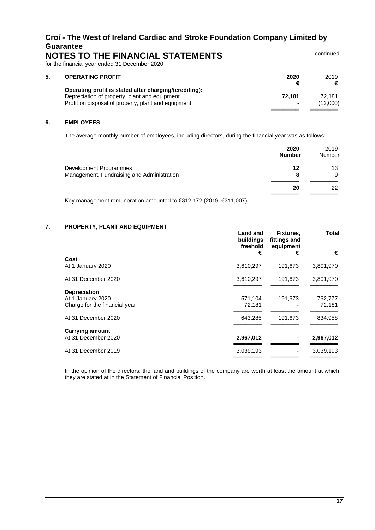for the financial year ended 31 December 2020

| 5. | <b>OPERATING PROFIT</b>                                | 2020   | 2019     |
|----|--------------------------------------------------------|--------|----------|
|    |                                                        |        | €        |
|    | Operating profit is stated after charging/(crediting): |        |          |
|    | Depreciation of property, plant and equipment          | 72.181 | 72.181   |
|    | Profit on disposal of property, plant and equipment    |        | (12,000) |
|    |                                                        |        |          |

## **6. EMPLOYEES**

The average monthly number of employees, including directors, during the financial year was as follows:

|                                            | 2020<br><b>Number</b> | 2019<br>Number |
|--------------------------------------------|-----------------------|----------------|
| Development Programmes                     | 12                    | 13             |
| Management, Fundraising and Administration | 8                     | 9              |
|                                            | 20                    | 22.            |
|                                            |                       |                |

Key management remuneration amounted to €312,172 (2019: €311,007).

## **7. PROPERTY, PLANT AND EQUIPMENT**

|                                                                           | Land and<br>buildings<br>freehold | Fixtures,<br>fittings and<br>equipment | Total             |
|---------------------------------------------------------------------------|-----------------------------------|----------------------------------------|-------------------|
|                                                                           | €                                 | €                                      | €                 |
| Cost<br>At 1 January 2020                                                 | 3,610,297                         | 191,673                                | 3,801,970         |
| At 31 December 2020                                                       | 3,610,297                         | 191,673                                | 3,801,970         |
| <b>Depreciation</b><br>At 1 January 2020<br>Charge for the financial year | 571,104<br>72,181                 | 191,673                                | 762,777<br>72,181 |
| At 31 December 2020                                                       | 643,285                           | 191,673                                | 834,958           |
| <b>Carrying amount</b><br>At 31 December 2020                             | 2,967,012                         |                                        | 2,967,012         |
| At 31 December 2019                                                       | 3,039,193                         | -                                      | 3,039,193         |
|                                                                           |                                   |                                        |                   |

In the opinion of the directors, the land and buildings of the company are worth at least the amount at which they are stated at in the Statement of Financial Position.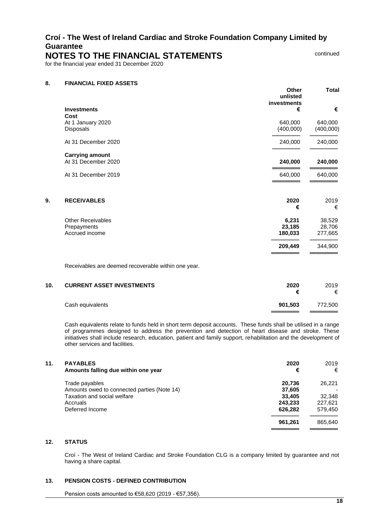for the financial year ended 31 December 2020

## **8. FINANCIAL FIXED ASSETS**

|                          | unlisted<br>investments                                                                                                                                                                             |                              |
|--------------------------|-----------------------------------------------------------------------------------------------------------------------------------------------------------------------------------------------------|------------------------------|
|                          | €                                                                                                                                                                                                   | €                            |
|                          |                                                                                                                                                                                                     |                              |
|                          |                                                                                                                                                                                                     | 640,000                      |
|                          |                                                                                                                                                                                                     | (400,000)                    |
|                          | 240,000                                                                                                                                                                                             | 240,000                      |
|                          |                                                                                                                                                                                                     |                              |
|                          | 240,000                                                                                                                                                                                             | 240,000                      |
|                          | 640,000                                                                                                                                                                                             | 640,000                      |
|                          |                                                                                                                                                                                                     |                              |
|                          |                                                                                                                                                                                                     | 2019                         |
|                          | €                                                                                                                                                                                                   | €                            |
| <b>Other Receivables</b> | 6,231                                                                                                                                                                                               | 38,529                       |
| Prepayments              | 23,185                                                                                                                                                                                              | 28,706                       |
|                          | 180,033                                                                                                                                                                                             | 277,665                      |
|                          | 209,449                                                                                                                                                                                             | 344,900                      |
|                          | <b>Investments</b><br>Cost<br>At 1 January 2020<br>Disposals<br>At 31 December 2020<br><b>Carrying amount</b><br>At 31 December 2020<br>At 31 December 2019<br><b>RECEIVABLES</b><br>Accrued income | 640,000<br>(400,000)<br>2020 |

Receivables are deemed recoverable within one year.

| 10. | <b>CURRENT ASSET INVESTMENTS</b> | 2020    | 2019<br>€ |
|-----|----------------------------------|---------|-----------|
|     | Cash equivalents                 | 901.503 | 772,500   |

Cash equivalents relate to funds held in short term deposit accounts. These funds shall be utilised in a range of programmes designed to address the prevention and detection of heart disease and stroke. These initiatives shall include research, education, patient and family support, rehabilitation and the development of other services and facilities.

| 11. | <b>PAYABLES</b><br>Amounts falling due within one year | 2020<br>€ | 2019<br>€ |
|-----|--------------------------------------------------------|-----------|-----------|
|     | Trade payables                                         | 20,736    | 26.221    |
|     | Amounts owed to connected parties (Note 14)            | 37,605    |           |
|     | Taxation and social welfare                            | 33.405    | 32,348    |
|     | Accruals                                               | 243,233   | 227,621   |
|     | Deferred Income                                        | 626,282   | 579,450   |
|     |                                                        | 961,261   | 865,640   |
|     |                                                        |           |           |

## **12. STATUS**

Croí - The West of Ireland Cardiac and Stroke Foundation CLG is a company limited by guarantee and not having a share capital.

## **13. PENSION COSTS - DEFINED CONTRIBUTION**

Pension costs amounted to €58,620 (2019 - €57,356).